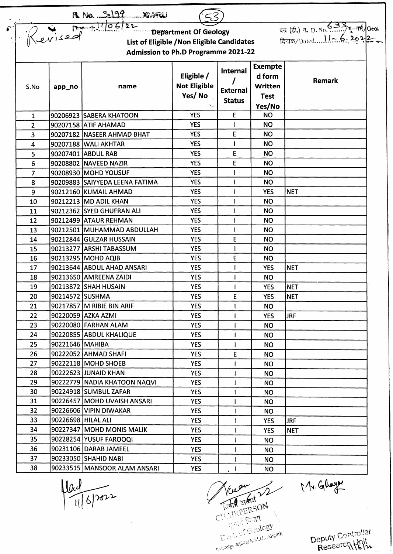| R No. 2199 XIVAN (53)<br>List of Eligible / Non Eligible Candidates<br><b>Admission to Ph.D Programme 2021-22</b> |                    |                                |                                             |                                              |                                                              |             |  |  |  |  |  |
|-------------------------------------------------------------------------------------------------------------------|--------------------|--------------------------------|---------------------------------------------|----------------------------------------------|--------------------------------------------------------------|-------------|--|--|--|--|--|
| S.No                                                                                                              | app_no             | name                           | Eligible /<br><b>Not Eligible</b><br>Yes/No | Internal<br><b>External</b><br><b>Status</b> | <b>Exempte</b><br>d form<br>Written<br><b>Test</b><br>Yes/No | Remark      |  |  |  |  |  |
| 1                                                                                                                 |                    | 90206923 SABERA KHATOON        | <b>YES</b>                                  | E                                            | <b>NO</b>                                                    |             |  |  |  |  |  |
| $\overline{2}$                                                                                                    |                    | 90207158 ATIF AHAMAD           | <b>YES</b>                                  | ı                                            | <b>NO</b>                                                    |             |  |  |  |  |  |
| 3                                                                                                                 |                    | 90207182 NASEER AHMAD BHAT     | <b>YES</b>                                  | E                                            | <b>NO</b>                                                    |             |  |  |  |  |  |
| 4                                                                                                                 |                    | 90207188 WALI AKHTAR           | <b>YES</b>                                  |                                              | <b>NO</b>                                                    |             |  |  |  |  |  |
| 5                                                                                                                 |                    | 90207401 ABDUL RAB             | <b>YES</b>                                  | E                                            | <b>NO</b>                                                    |             |  |  |  |  |  |
| 6                                                                                                                 |                    | 90208802 NAVEED NAZIR          | <b>YES</b>                                  | E                                            | <b>NO</b>                                                    |             |  |  |  |  |  |
| $\overline{7}$                                                                                                    |                    | 90208930 MOHD YOUSUF           | <b>YES</b>                                  |                                              | <b>NO</b>                                                    |             |  |  |  |  |  |
| 8                                                                                                                 |                    | 90209883 SAIYYEDA LEENA FATIMA | <b>YES</b>                                  |                                              | <b>NO</b>                                                    |             |  |  |  |  |  |
| 9                                                                                                                 |                    | 90212160 KUMAIL AHMAD          | <b>YES</b>                                  |                                              | <b>YES</b>                                                   | <b>NET</b>  |  |  |  |  |  |
| 10                                                                                                                |                    | 90212213 MD ADIL KHAN          | <b>YES</b>                                  |                                              | <b>NO</b>                                                    |             |  |  |  |  |  |
| 11                                                                                                                |                    | 90212362 SYED GHUFRAN ALI      | <b>YES</b>                                  |                                              | <b>NO</b>                                                    |             |  |  |  |  |  |
| 12                                                                                                                |                    | 90212499 ATAUR REHMAN          | <b>YES</b>                                  |                                              | <b>NO</b>                                                    |             |  |  |  |  |  |
| 13                                                                                                                |                    | 90212501 MUHAMMAD ABDULLAH     | <b>YES</b>                                  |                                              | <b>NO</b>                                                    |             |  |  |  |  |  |
| 14                                                                                                                |                    | 90212844 GULZAR HUSSAIN        | <b>YES</b>                                  | E                                            | <b>NO</b>                                                    |             |  |  |  |  |  |
| 15                                                                                                                |                    | 90213277 ARSHI TABASSUM        | <b>YES</b>                                  |                                              | <b>NO</b>                                                    |             |  |  |  |  |  |
| 16                                                                                                                |                    | 90213295 MOHD AQIB             | <b>YES</b>                                  | E                                            | <b>NO</b>                                                    |             |  |  |  |  |  |
| 17                                                                                                                |                    | 90213644 ABDUL AHAD ANSARI     | <b>YES</b>                                  |                                              | <b>YES</b>                                                   | <b>NET</b>  |  |  |  |  |  |
| 18                                                                                                                |                    | 90213650 AMREENA ZAIDI         | <b>YES</b>                                  |                                              | <b>NO</b>                                                    |             |  |  |  |  |  |
| 19                                                                                                                |                    | 90213872 SHAH HUSAIN           | <b>YES</b>                                  |                                              | <b>YES</b>                                                   | <b>INET</b> |  |  |  |  |  |
| 20                                                                                                                | 90214572 SUSHMA    |                                | <b>YES</b>                                  | E                                            | <b>YES</b>                                                   | <b>NET</b>  |  |  |  |  |  |
| 21                                                                                                                |                    | 90217857 M RIBIE BIN ARIF      | <b>YES</b>                                  |                                              | <b>NO</b>                                                    |             |  |  |  |  |  |
| 22                                                                                                                |                    | 90220059 AZKA AZMI             | <b>YES</b>                                  |                                              | <b>YES</b>                                                   | <b>JRF</b>  |  |  |  |  |  |
| 23                                                                                                                |                    | 90220080 FARHAN ALAM           | <b>YES</b>                                  |                                              | NO.                                                          |             |  |  |  |  |  |
| 24                                                                                                                |                    | 90220855 ABDUL KHALIQUE        | <b>YES</b>                                  | $\mathbf{I}$                                 | NO.                                                          |             |  |  |  |  |  |
| 25                                                                                                                | 90221646 MAHIBA    |                                | <b>YES</b>                                  | I.                                           | <b>NO</b>                                                    |             |  |  |  |  |  |
| 26                                                                                                                |                    | 90222052 AHMAD SHAFI           | <b>YES</b>                                  | E                                            | <b>NO</b>                                                    |             |  |  |  |  |  |
| 27                                                                                                                |                    | 90222118 MOHD SHOEB            | <b>YES</b>                                  | ŧ                                            | <b>NO</b>                                                    |             |  |  |  |  |  |
| 28                                                                                                                |                    | 90222623 JJUNAID KHAN          | <b>YES</b>                                  |                                              | NO.                                                          |             |  |  |  |  |  |
| 29                                                                                                                |                    | 90222779 NADIA KHATOON NAQVI   | <b>YES</b>                                  |                                              | <b>NO</b>                                                    |             |  |  |  |  |  |
| 30                                                                                                                |                    | 90224918 SUMBUL ZAFAR          | <b>YES</b>                                  |                                              | NO.                                                          |             |  |  |  |  |  |
| 31                                                                                                                |                    | 90226457 MOHD UVAISH ANSARI    | <b>YES</b>                                  |                                              | <b>NO</b>                                                    |             |  |  |  |  |  |
| 32                                                                                                                |                    | 90226606 VIPIN DIWAKAR         | <b>YES</b>                                  |                                              | <b>NO</b>                                                    |             |  |  |  |  |  |
| 33                                                                                                                | 90226698 HILAL ALI |                                | <b>YES</b>                                  |                                              | <b>YES</b>                                                   | <b>JRF</b>  |  |  |  |  |  |
| 34                                                                                                                |                    | 90227347 MOHD MONIS MALIK      | <b>YES</b>                                  |                                              | <b>YES</b>                                                   | <b>NET</b>  |  |  |  |  |  |
| 35                                                                                                                |                    | 90228254 YUSUF FAROOQI         | <b>YES</b>                                  |                                              | <b>NO</b>                                                    |             |  |  |  |  |  |
| 36                                                                                                                |                    | 90231106   DARAB JAMEEL        | <b>YES</b>                                  | L                                            | NO.                                                          |             |  |  |  |  |  |
| 37                                                                                                                |                    | 90233050 SHAHID NABI           | <b>YES</b>                                  |                                              | <b>NO</b>                                                    |             |  |  |  |  |  |
| 38                                                                                                                |                    | 90233515   MANSOOR ALAM ANSARI | <b>YES</b>                                  | $\sqrt{1}$                                   | <b>NO</b>                                                    |             |  |  |  |  |  |

 $\frac{10u}{116}$ 

CHARGESON  $\overline{\phantom{0}}$ Company Standard A.M.U., Aligarh

Mr. Glwyn

Deputy Controller<br>Research Valt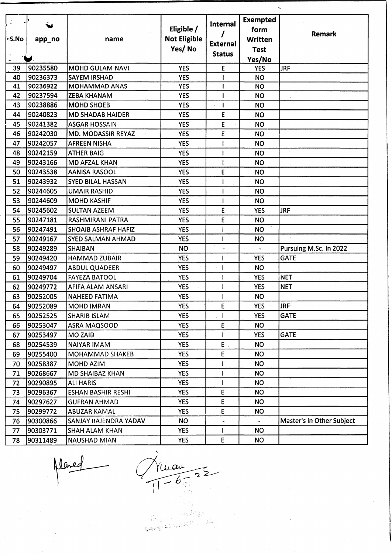|        |           |                              |                     |                 | <b>Exempted</b>       |                           |
|--------|-----------|------------------------------|---------------------|-----------------|-----------------------|---------------------------|
|        |           |                              | Eligible /          | <b>Internal</b> | form                  |                           |
| l-S.No | app_no    | name                         | <b>Not Eligible</b> |                 | Written               | Remark                    |
|        |           |                              | Yes/No              | <b>External</b> | <b>Test</b>           |                           |
|        |           |                              |                     | <b>Status</b>   | Yes/No                |                           |
| 39     | 90235580  | <b>MOHD GULAM NAVI</b>       | <b>YES</b>          | E               | <b>YES</b>            | <b>JRF</b>                |
| 40     | 90236373  | <b>SAYEM IRSHAD</b>          | <b>YES</b>          | $\mathbf{I}$    | <b>NO</b>             |                           |
| 41     | 90236922  | <b>MOHAMMAD ANAS</b>         | <b>YES</b>          | $\mathbf{I}$    | <b>NO</b>             |                           |
| 42     | 90237594  | <b>ZEBA KHANAM</b>           | <b>YES</b>          |                 | <b>NO</b>             |                           |
| 43     | 90238886  | <b>MOHD SHOEB</b>            | <b>YES</b>          | $\mathbf{I}$    | <b>NO</b>             |                           |
| 44     | 90240823  | <b>MD SHADAB HAIDER</b>      | <b>YES</b>          | E               | <b>NO</b>             |                           |
| 45     | 90241382  | <b>ASGAR HOSSAIN</b>         | <b>YES</b>          | E               | <b>NO</b>             |                           |
| 46     | 90242030  | MD. MODASSIR REYAZ           | <b>YES</b>          | E               | <b>NO</b>             |                           |
| 47     | 90242057  | <b>AFREEN NISHA</b>          | <b>YES</b>          |                 | <b>NO</b>             |                           |
| 48     | 90242159  | <b>ATHER BAIG</b>            | <b>YES</b>          |                 | <b>NO</b>             |                           |
| 49     | 90243166  | <b>MD AFZAL KHAN</b>         | <b>YES</b>          |                 | <b>NO</b>             |                           |
| 50     | 90243538  | <b>AANISA RASOOL</b>         | <b>YES</b>          | E               | <b>NO</b>             |                           |
| 51     | 90243932  | <b>SYED BILAL HASSAN</b>     | <b>YES</b>          |                 | <b>NO</b>             |                           |
| 52     | 90244605  | <b>UMAIR RASHID</b>          | <b>YES</b>          |                 | <b>NO</b>             |                           |
| 53     | 90244609  | <b>MOHD KASHIF</b>           | <b>YES</b>          |                 | <b>NO</b>             |                           |
| 54     | 90245602  | <b>SULTAN AZEEM</b>          | <b>YES</b>          | E               | <b>YES</b>            | <b>JRF</b>                |
| 55     | 90247181  | RASHMIRANI PATRA             | <b>YES</b>          | E               | <b>NO</b>             |                           |
| 56     | 90247491  | SHOAIB ASHRAF HAFIZ          | <b>YES</b>          |                 | <b>NO</b>             |                           |
| 57     | 90249167  | <b>SYED SALMAN AHMAD</b>     | <b>YES</b>          |                 | <b>NO</b>             | $\sim$                    |
| 58     | 90249289  | <b>SHAIBAN</b>               | <b>NO</b>           |                 | $\tilde{\phantom{a}}$ | Pursuing M.Sc. In 2022    |
| 59     | 90249420  | <b>HAMMAD ZUBAIR</b>         | <b>YES</b>          |                 | <b>YES</b>            | <b>GATE</b>               |
| 60     | 90249497  | <b>ABDUL QUADEER</b>         | <b>YES</b>          | $\mathbf{I}$    | <b>NO</b>             |                           |
| 61     | 90249704  | <b>FAYEZA BATOOL</b>         | <b>YES</b>          | ł               | <b>YES</b>            | <b>NET</b>                |
| 62     | 90249772  | AFIFA ALAM ANSARI            | <b>YES</b>          |                 | <b>YES</b>            | <b>NET</b>                |
| 63     | 90252005  | <b>NAHEED FATIMA</b>         | <b>YES</b>          |                 | <b>NO</b>             |                           |
| 64     | 90252089  | MOHD IMRAN                   | <b>YES</b>          | E               | <b>YES</b>            | <b>JRF</b>                |
| 65     | 90252525  | <b>SHARIB ISLAM</b>          | <b>YES</b>          | $\mathbf{I}$    | <b>YES</b>            | <b>GATE</b>               |
| 66     | 90253047  | <b>ASRA MAQSOOD</b>          | <b>YES</b>          | E               | <b>NO</b>             |                           |
| 67     | 90253497  | <b>MO ZAID</b>               | <b>YES</b>          |                 | <b>YES</b>            | <b>GATE</b>               |
| 68     | 90254539  | NAIYAR IMAM                  | <b>YES</b>          | $E$ .           | <b>NO</b>             |                           |
| 69     | 90255400  | <b>MOHAMMAD SHAKEB</b>       | <b>YES</b>          | E               | <b>NO</b>             |                           |
| 70     | 90258387  | MOHD AZIM                    | <b>YES</b>          |                 | <b>NO</b>             |                           |
| 71     | 90268667  | <b>MD SHAIBAZ KHAN</b>       | <b>YES</b>          |                 | <b>NO</b>             |                           |
| 72     | 90290895  | <b>ALI HARIS</b>             | <b>YES</b>          |                 | <b>NO</b>             |                           |
| 73     | 90296367  | <b>ESHAN BASHIR RESHI</b>    | <b>YES</b>          | E               | NO.                   |                           |
| 74     | 90297627  | <b>GUFRAN AHMAD</b>          | <b>YES</b>          | $\mathsf E$     | <b>NO</b>             |                           |
| 75     | 90299772  | <b>ABUZAR KAMAL</b>          | <b>YES</b>          | E               | <b>NO</b>             |                           |
| 76     | 190300866 | <b>SANJAY RAJENDRA YADAV</b> | <b>NO</b>           | $\blacksquare$  | $\blacksquare$        | Master's in Other Subject |
| 77     | 90303771  | <b>SHAH ALAM KHAN</b>        | <b>YES</b>          | $\mathbf{I}$    | <b>NO</b>             |                           |
| 78     | 90311489  | <b>NAUSHAD MIAN</b>          | <b>YES</b>          | E               | <b>NO</b>             |                           |

Naved

 $\sim$ 

 $\alpha$ 

 $\frac{V(\mu\alpha)}{1-6\pi^{2}}$  $\mathbf{t}$